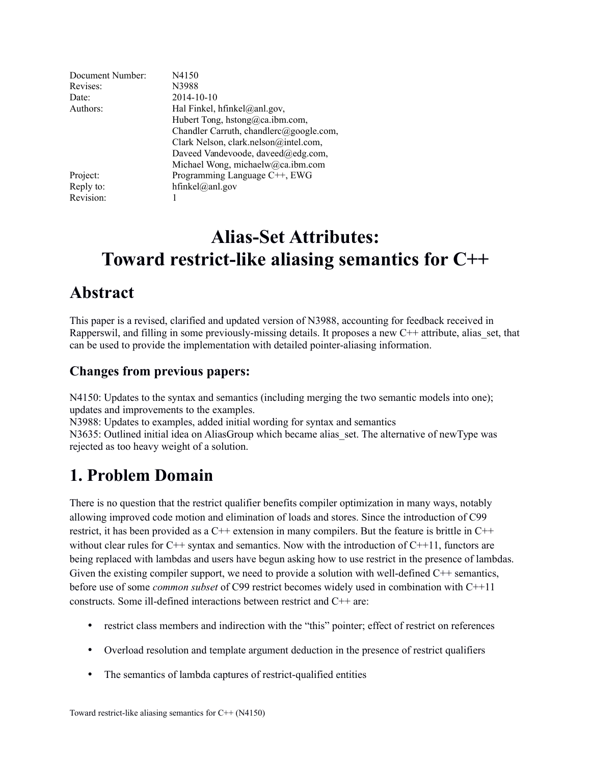| Document Number: | N4150                                   |
|------------------|-----------------------------------------|
| Revises:         | N3988                                   |
| Date:            | 2014-10-10                              |
| Authors:         | Hal Finkel, hfinkel@anl.gov,            |
|                  | Hubert Tong, hstong@ca.ibm.com,         |
|                  | Chandler Carruth, chandlerc@google.com, |
|                  | Clark Nelson, clark.nelson@intel.com,   |
|                  | Daveed Vandevoode, daveed@edg.com,      |
|                  | Michael Wong, michaelw@ca.ibm.com       |
| Project:         | Programming Language C++, EWG           |
| Reply to:        | hfinkel@anl.gov                         |
| Revision:        |                                         |

# **Alias-Set Attributes: Toward restrict-like aliasing semantics for C++**

### **Abstract**

This paper is a revised, clarified and updated version of N3988, accounting for feedback received in Rapperswil, and filling in some previously-missing details. It proposes a new  $C++$  attribute, alias set, that can be used to provide the implementation with detailed pointer-aliasing information.

#### **Changes from previous papers:**

N4150: Updates to the syntax and semantics (including merging the two semantic models into one); updates and improvements to the examples.

N3988: Updates to examples, added initial wording for syntax and semantics

N3635: Outlined initial idea on AliasGroup which became alias set. The alternative of newType was rejected as too heavy weight of a solution.

# **1. Problem Domain**

There is no question that the restrict qualifier benefits compiler optimization in many ways, notably allowing improved code motion and elimination of loads and stores. Since the introduction of C99 restrict, it has been provided as a C++ extension in many compilers. But the feature is brittle in C++ without clear rules for  $C_{++}$  syntax and semantics. Now with the introduction of  $C_{++}11$ , functors are being replaced with lambdas and users have begun asking how to use restrict in the presence of lambdas. Given the existing compiler support, we need to provide a solution with well-defined C++ semantics, before use of some *common subset* of C99 restrict becomes widely used in combination with C++11 constructs. Some ill-defined interactions between restrict and C++ are:

- restrict class members and indirection with the "this" pointer; effect of restrict on references
- Overload resolution and template argument deduction in the presence of restrict qualifiers
- The semantics of lambda captures of restrict-qualified entities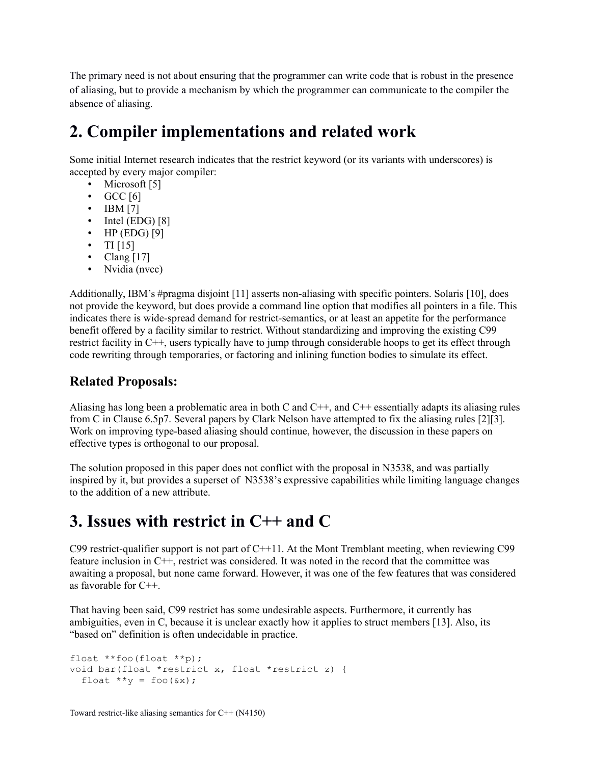The primary need is not about ensuring that the programmer can write code that is robust in the presence of aliasing, but to provide a mechanism by which the programmer can communicate to the compiler the absence of aliasing.

### **2. Compiler implementations and related work**

Some initial Internet research indicates that the restrict keyword (or its variants with underscores) is accepted by every major compiler:

- Microsoft [5]
- $\bullet$  GCC [6]
- IBM [7]
- $\bullet$  Intel (EDG) [8]
- $\bullet$  HP (EDG) [9]
- TI  $[15]$
- Clang  $[17]$
- Nvidia (nvcc)

Additionally, IBM's #pragma disjoint [11] asserts non-aliasing with specific pointers. Solaris [10], does not provide the keyword, but does provide a command line option that modifies all pointers in a file. This indicates there is wide-spread demand for restrict-semantics, or at least an appetite for the performance benefit offered by a facility similar to restrict. Without standardizing and improving the existing C99 restrict facility in C++, users typically have to jump through considerable hoops to get its effect through code rewriting through temporaries, or factoring and inlining function bodies to simulate its effect.

### **Related Proposals:**

Aliasing has long been a problematic area in both C and  $C_{++}$ , and  $C_{++}$  essentially adapts its aliasing rules from C in Clause 6.5p7. Several papers by Clark Nelson have attempted to fix the aliasing rules [2][3]. Work on improving type-based aliasing should continue, however, the discussion in these papers on effective types is orthogonal to our proposal.

The solution proposed in this paper does not conflict with the proposal in N3538, and was partially inspired by it, but provides a superset of N3538's expressive capabilities while limiting language changes to the addition of a new attribute.

## **3. Issues with restrict in C++ and C**

C99 restrict-qualifier support is not part of C++11. At the Mont Tremblant meeting, when reviewing C99 feature inclusion in C++, restrict was considered. It was noted in the record that the committee was awaiting a proposal, but none came forward. However, it was one of the few features that was considered as favorable for C++.

That having been said, C99 restrict has some undesirable aspects. Furthermore, it currently has ambiguities, even in C, because it is unclear exactly how it applies to struct members [13]. Also, its "based on" definition is often undecidable in practice.

```
float **foo(float **p);
void bar(float *restrict x, float *restrict z) {
  float **y = foo(&x);
```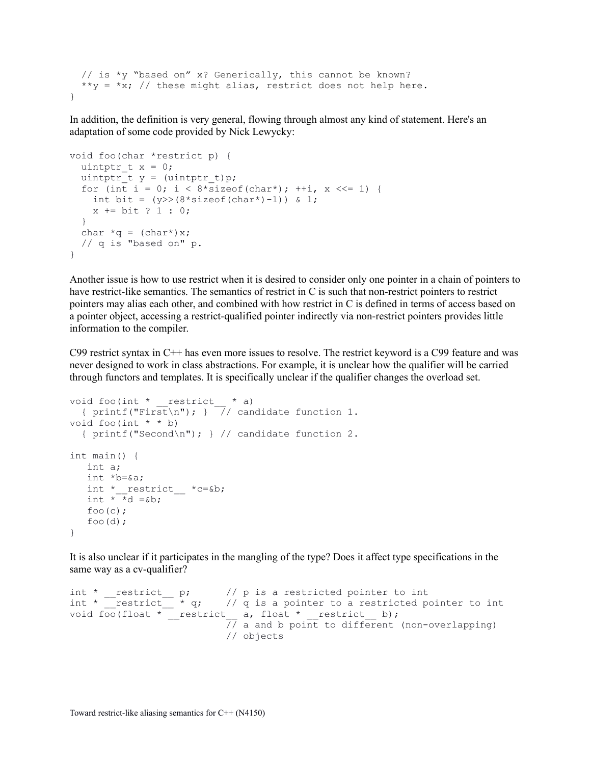```
 // is *y "based on" x? Generically, this cannot be known?
  **y = *x; // these might alias, restrict does not help here.
}
```
In addition, the definition is very general, flowing through almost any kind of statement. Here's an adaptation of some code provided by Nick Lewycky:

```
void foo(char *restrict p) {
  uintptr t x = 0;
  uintptr_t y = (uintptr_t)p;
  for (int i = 0; i < 8*sizeof(char*); ++i, x <<= 1) {
    int bit = (y) > (8 * sizeof(char*) - 1)) & 1;
    x == bit ? 1 : 0; }
 char *q = (char*)x; // q is "based on" p.
}
```
Another issue is how to use restrict when it is desired to consider only one pointer in a chain of pointers to have restrict-like semantics. The semantics of restrict in C is such that non-restrict pointers to restrict pointers may alias each other, and combined with how restrict in C is defined in terms of access based on a pointer object, accessing a restrict-qualified pointer indirectly via non-restrict pointers provides little information to the compiler.

C99 restrict syntax in C++ has even more issues to resolve. The restrict keyword is a C99 feature and was never designed to work in class abstractions. For example, it is unclear how the qualifier will be carried through functors and templates. It is specifically unclear if the qualifier changes the overload set.

```
void foo(int * restrict * a)
  { printf("First\n"); } \frac{1}{\sqrt{2}} candidate function 1.
void foo(int * * b)
   { printf("Second\n"); } // candidate function 2.
int main() {
    int a;
    int *b=&a;
   int * restrict _ *c=&b;
   int \overline{d} \overline{d} =&b;
  foo(c) ;
   foo(d);
}
```
It is also unclear if it participates in the mangling of the type? Does it affect type specifications in the same way as a cv-qualifier?

```
int * __restrict__ p; // p is a restricted pointer to int
int * __restrict__ * q; // q is a pointer to a restricted pointer to int
void foo(float * __restrict __a, float * __restrict __b);
                           \overline{77} a and b point to different (non-overlapping)
                           // objects
```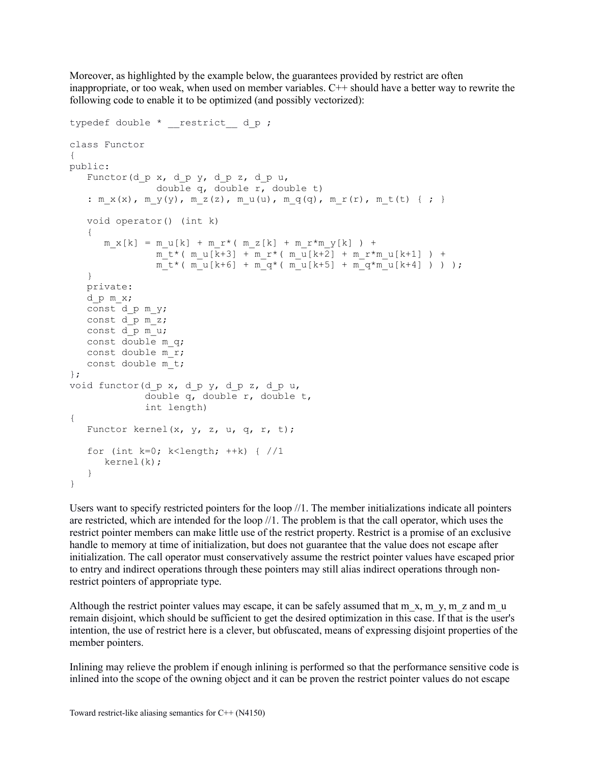Moreover, as highlighted by the example below, the guarantees provided by restrict are often inappropriate, or too weak, when used on member variables. C++ should have a better way to rewrite the following code to enable it to be optimized (and possibly vectorized):

```
typedef double * restrict d p ;
class Functor
{
public:
   Functor (d p x, d p y, d p z, d p u,
                double q, double r, double t)
   : m x(x), m y(y), m z(z), m u(u), m q(q), m r(r), m t(t) { ; }
    void operator() (int k)
    {
      m x[k] = m u[k] + m r^{*} (m z[k] + m r^{*}m y[k]) +m_t^+(m_u[k+3] + m_t*(m_u[k+2] + m_t*m_u[k+1]) +m_t * (m_u[k+6] + m_q * (m_u[k+5] + m_q * m_u[k+4] ) ) );
    }
   private:
   d_p m_x;
    const d_p m_y;
    const d_p m_z;
    const d_p m_u;
    const double m_q;
    const double m_r;
    const double m_t;
};
void functor(d_p x, d_p y, d_p z, d_p u,
              double q, double r, double t,
              int length)
{
   Functor kernel(x, y, z, u, q, r, t);
   for (int k=0; k<length; ++k) { //1 kernel(k);
    }
}
```
Users want to specify restricted pointers for the loop //1. The member initializations indicate all pointers are restricted, which are intended for the loop //1. The problem is that the call operator, which uses the restrict pointer members can make little use of the restrict property. Restrict is a promise of an exclusive handle to memory at time of initialization, but does not guarantee that the value does not escape after initialization. The call operator must conservatively assume the restrict pointer values have escaped prior to entry and indirect operations through these pointers may still alias indirect operations through nonrestrict pointers of appropriate type.

Although the restrict pointer values may escape, it can be safely assumed that m  $x, m, y, m, z$  and m  $u$ remain disjoint, which should be sufficient to get the desired optimization in this case. If that is the user's intention, the use of restrict here is a clever, but obfuscated, means of expressing disjoint properties of the member pointers.

Inlining may relieve the problem if enough inlining is performed so that the performance sensitive code is inlined into the scope of the owning object and it can be proven the restrict pointer values do not escape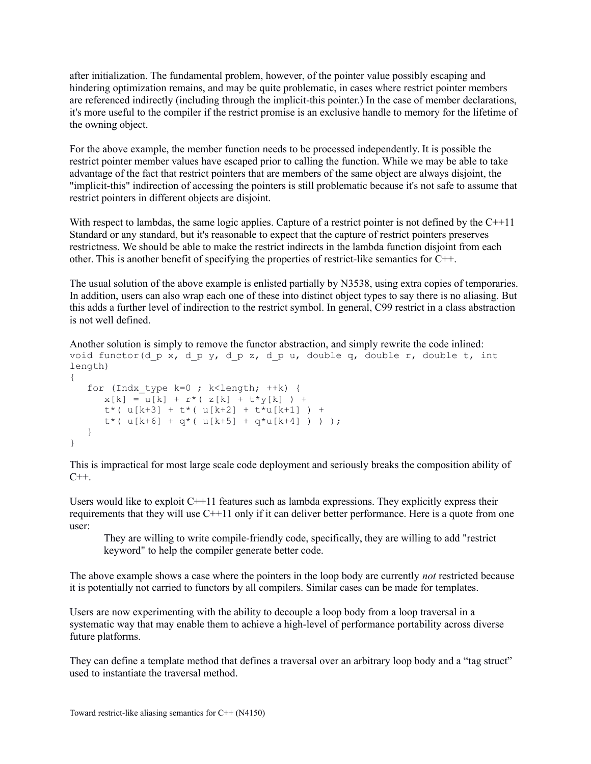after initialization. The fundamental problem, however, of the pointer value possibly escaping and hindering optimization remains, and may be quite problematic, in cases where restrict pointer members are referenced indirectly (including through the implicit-this pointer.) In the case of member declarations, it's more useful to the compiler if the restrict promise is an exclusive handle to memory for the lifetime of the owning object.

For the above example, the member function needs to be processed independently. It is possible the restrict pointer member values have escaped prior to calling the function. While we may be able to take advantage of the fact that restrict pointers that are members of the same object are always disjoint, the "implicit-this" indirection of accessing the pointers is still problematic because it's not safe to assume that restrict pointers in different objects are disjoint.

With respect to lambdas, the same logic applies. Capture of a restrict pointer is not defined by the C++11 Standard or any standard, but it's reasonable to expect that the capture of restrict pointers preserves restrictness. We should be able to make the restrict indirects in the lambda function disjoint from each other. This is another benefit of specifying the properties of restrict-like semantics for C++.

The usual solution of the above example is enlisted partially by N3538, using extra copies of temporaries. In addition, users can also wrap each one of these into distinct object types to say there is no aliasing. But this adds a further level of indirection to the restrict symbol. In general, C99 restrict in a class abstraction is not well defined.

```
Another solution is simply to remove the functor abstraction, and simply rewrite the code inlined:
void functor(d p x, d p y, d p z, d p u, double q, double r, double t, int
length)
{
    for (Indx_type k=0 ; k<length; ++k) {
      x[k] = u[k] + r^* (z[k] + t^*y[k]) +t*(u[k+3] + t*(u[k+2] + t*u[k+1]) +t*(u[k+6] + q*(u[k+5] + q*u[k+4] )) }
}
```
This is impractical for most large scale code deployment and seriously breaks the composition ability of  $C++$ .

Users would like to exploit  $C++11$  features such as lambda expressions. They explicitly express their requirements that they will use C++11 only if it can deliver better performance. Here is a quote from one user:

They are willing to write compile-friendly code, specifically, they are willing to add "restrict keyword" to help the compiler generate better code.

The above example shows a case where the pointers in the loop body are currently *not* restricted because it is potentially not carried to functors by all compilers. Similar cases can be made for templates.

Users are now experimenting with the ability to decouple a loop body from a loop traversal in a systematic way that may enable them to achieve a high-level of performance portability across diverse future platforms.

They can define a template method that defines a traversal over an arbitrary loop body and a "tag struct" used to instantiate the traversal method.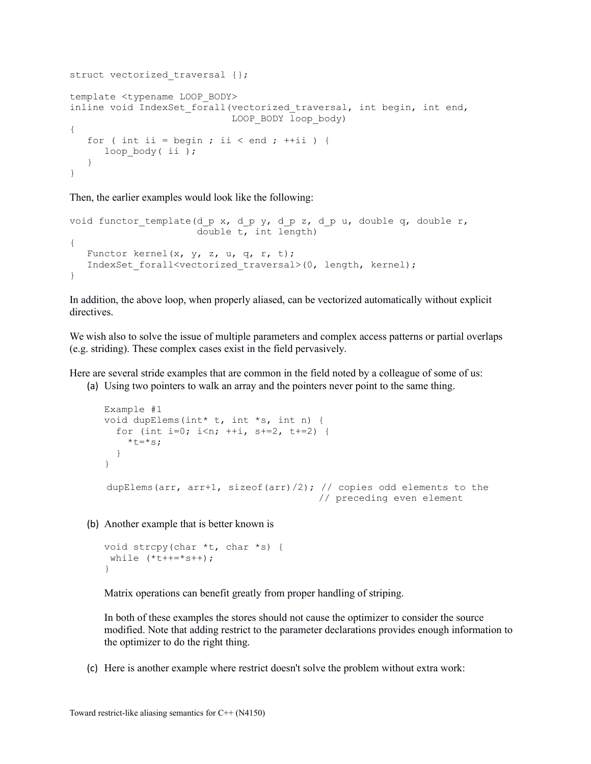```
struct vectorized traversal {};
template <typename LOOP_BODY>
inline void IndexSet forall(vectorized traversal, int begin, int end,
                            LOOP_BODY_loop_body)
{
   for ( int ii = begin ; ii < end ; +ii ) {
     loop body( ii );
    }
}
```
Then, the earlier examples would look like the following:

```
void functor template(d p x, d p y, d p z, d p u, double q, double r,
                       double t, int length)
{
   Functor kernel(x, y, z, u, q, r, t);
   IndexSet_forall<vectorized traversal>(0, length, kernel);
}
```
In addition, the above loop, when properly aliased, can be vectorized automatically without explicit directives.

We wish also to solve the issue of multiple parameters and complex access patterns or partial overlaps (e.g. striding). These complex cases exist in the field pervasively.

Here are several stride examples that are common in the field noted by a colleague of some of us:

(a) Using two pointers to walk an array and the pointers never point to the same thing.

```
Example #1
void dupElems(int* t, int *s, int n) {
  for (int i=0; i<n; ++i, s+=2, t+=2) {
    *t=*s; }
}
dupElems(arr, arr+1, sizeof(arr)/2); // copies odd elements to the
                                     // preceding even element
```
(b) Another example that is better known is

```
void strcpy(char *t, char *s) {
while (*t++=*s++);
}
```
Matrix operations can benefit greatly from proper handling of striping.

In both of these examples the stores should not cause the optimizer to consider the source modified. Note that adding restrict to the parameter declarations provides enough information to the optimizer to do the right thing.

(c) Here is another example where restrict doesn't solve the problem without extra work: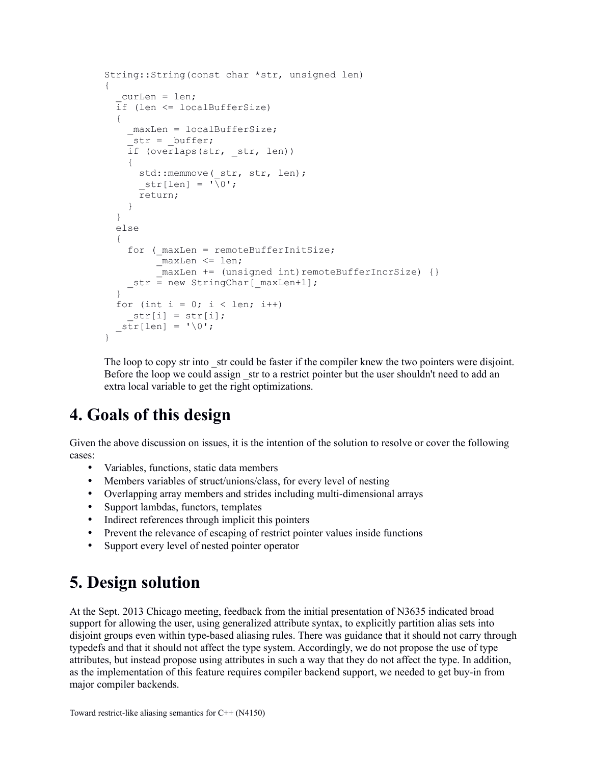```
String::String(const char *str, unsigned len)
{
  curLen = len;if (len \leq localBufferSize)
   {
    maxLen = localBufferSize;
    str = buffer;
    if (overlaps(str, str, len))\left\{ \right.std::memmove(str, str, len);
      str[len] = ' \overline{\sqrt{0}}'; return;
     }
   }
   else
   {
    for (maxLen = remoteBufferInitSize; _maxLen <= len;
          maxLen += (unsigned int)remoteBufferIncrSize) {}
     str = new StringChar[ maxLen+1];
   }
  for (int i = 0; i < len; i++)str[i] = str[i];str[len] = ' \0';}
```
The loop to copy str into str could be faster if the compiler knew the two pointers were disjoint. Before the loop we could assign str to a restrict pointer but the user shouldn't need to add an extra local variable to get the right optimizations.

### **4. Goals of this design**

Given the above discussion on issues, it is the intention of the solution to resolve or cover the following cases:

- Variables, functions, static data members
- Members variables of struct/unions/class, for every level of nesting
- Overlapping array members and strides including multi-dimensional arrays
- Support lambdas, functors, templates
- Indirect references through implicit this pointers
- Prevent the relevance of escaping of restrict pointer values inside functions
- Support every level of nested pointer operator

### **5. Design solution**

At the Sept. 2013 Chicago meeting, feedback from the initial presentation of N3635 indicated broad support for allowing the user, using generalized attribute syntax, to explicitly partition alias sets into disjoint groups even within type-based aliasing rules. There was guidance that it should not carry through typedefs and that it should not affect the type system. Accordingly, we do not propose the use of type attributes, but instead propose using attributes in such a way that they do not affect the type. In addition, as the implementation of this feature requires compiler backend support, we needed to get buy-in from major compiler backends.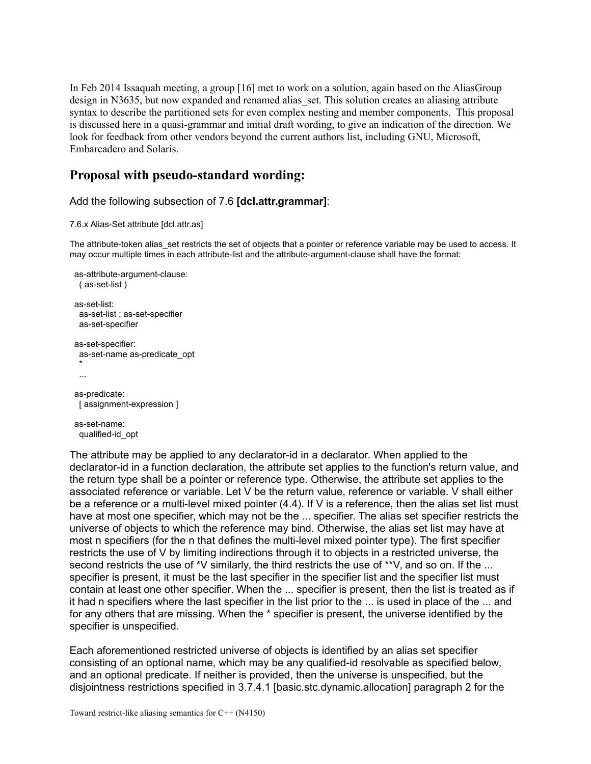In Feb 2014 Issaquah meeting, a group [16] met to work on a solution, again based on the AliasGroup design in N3635, but now expanded and renamed alias set. This solution creates an aliasing attribute syntax to describe the partitioned sets for even complex nesting and member components. This proposal is discussed here in a quasi-grammar and initial draft wording, to give an indication of the direction. We look for feedback from other vendors beyond the current authors list, including GNU, Microsoft, Embarcadero and Solaris.

#### **Proposal with pseudo-standard wording:**

#### Add the following subsection of 7.6 **[dcl.attr.grammar]**:

#### 7.6.x Alias-Set attribute [dcl.attr.as]

The attribute-token alias set restricts the set of objects that a pointer or reference variable may be used to access. It may occur multiple times in each attribute-list and the attribute-argument-clause shall have the format:

```
 as-attribute-argument-clause:
   ( as-set-list )
 as-set-list:
   as-set-list ; as-set-specifier
   as-set-specifier
 as-set-specifier:
   as-set-name as-predicate_opt
 *
   ...
  as-predicate:
  [ assignment-expression ]
 as-set-name:
   qualified-id_opt
```
The attribute may be applied to any declarator-id in a declarator. When applied to the declarator-id in a function declaration, the attribute set applies to the function's return value, and the return type shall be a pointer or reference type. Otherwise, the attribute set applies to the associated reference or variable. Let V be the return value, reference or variable. V shall either be a reference or a multi-level mixed pointer (4.4). If V is a reference, then the alias set list must have at most one specifier, which may not be the ... specifier. The alias set specifier restricts the universe of objects to which the reference may bind. Otherwise, the alias set list may have at most n specifiers (for the n that defines the multi-level mixed pointer type). The first specifier restricts the use of V by limiting indirections through it to objects in a restricted universe, the second restricts the use of \*V similarly, the third restricts the use of \*\*V, and so on. If the ... specifier is present, it must be the last specifier in the specifier list and the specifier list must contain at least one other specifier. When the ... specifier is present, then the list is treated as if it had n specifiers where the last specifier in the list prior to the ... is used in place of the ... and for any others that are missing. When the \* specifier is present, the universe identified by the specifier is unspecified.

Each aforementioned restricted universe of objects is identified by an alias set specifier consisting of an optional name, which may be any qualified-id resolvable as specified below, and an optional predicate. If neither is provided, then the universe is unspecified, but the disjointness restrictions specified in 3.7.4.1 [basic.stc.dynamic.allocation] paragraph 2 for the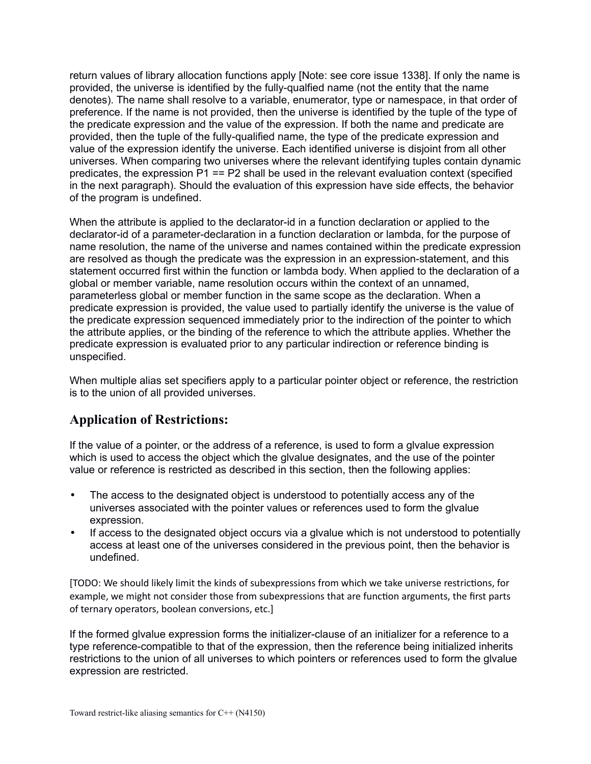return values of library allocation functions apply [Note: see core issue 1338]. If only the name is provided, the universe is identified by the fully-qualfied name (not the entity that the name denotes). The name shall resolve to a variable, enumerator, type or namespace, in that order of preference. If the name is not provided, then the universe is identified by the tuple of the type of the predicate expression and the value of the expression. If both the name and predicate are provided, then the tuple of the fully-qualified name, the type of the predicate expression and value of the expression identify the universe. Each identified universe is disjoint from all other universes. When comparing two universes where the relevant identifying tuples contain dynamic predicates, the expression  $P1 = P2$  shall be used in the relevant evaluation context (specified in the next paragraph). Should the evaluation of this expression have side effects, the behavior of the program is undefined.

When the attribute is applied to the declarator-id in a function declaration or applied to the declarator-id of a parameter-declaration in a function declaration or lambda, for the purpose of name resolution, the name of the universe and names contained within the predicate expression are resolved as though the predicate was the expression in an expression-statement, and this statement occurred first within the function or lambda body. When applied to the declaration of a global or member variable, name resolution occurs within the context of an unnamed, parameterless global or member function in the same scope as the declaration. When a predicate expression is provided, the value used to partially identify the universe is the value of the predicate expression sequenced immediately prior to the indirection of the pointer to which the attribute applies, or the binding of the reference to which the attribute applies. Whether the predicate expression is evaluated prior to any particular indirection or reference binding is unspecified.

When multiple alias set specifiers apply to a particular pointer object or reference, the restriction is to the union of all provided universes.

#### **Application of Restrictions:**

If the value of a pointer, or the address of a reference, is used to form a glvalue expression which is used to access the object which the glvalue designates, and the use of the pointer value or reference is restricted as described in this section, then the following applies:

- The access to the designated object is understood to potentially access any of the universes associated with the pointer values or references used to form the glvalue expression.
- If access to the designated object occurs via a glvalue which is not understood to potentially access at least one of the universes considered in the previous point, then the behavior is undefined.

[TODO: We should likely limit the kinds of subexpressions from which we take universe restrictions, for example, we might not consider those from subexpressions that are function arguments, the first parts of ternary operators, boolean conversions, etc.]

If the formed glvalue expression forms the initializer-clause of an initializer for a reference to a type reference-compatible to that of the expression, then the reference being initialized inherits restrictions to the union of all universes to which pointers or references used to form the glvalue expression are restricted.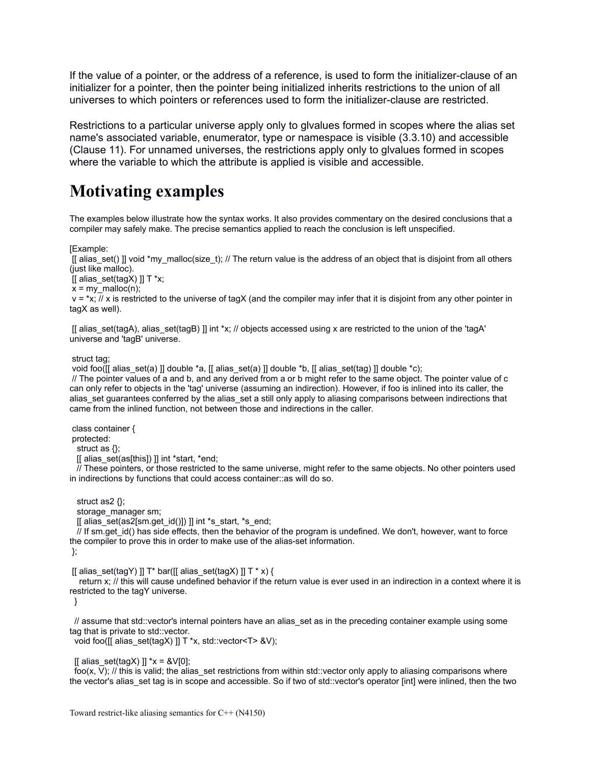If the value of a pointer, or the address of a reference, is used to form the initializer-clause of an initializer for a pointer, then the pointer being initialized inherits restrictions to the union of all universes to which pointers or references used to form the initializer-clause are restricted.

Restrictions to a particular universe apply only to glvalues formed in scopes where the alias set name's associated variable, enumerator, type or namespace is visible (3.3.10) and accessible (Clause 11). For unnamed universes, the restrictions apply only to glvalues formed in scopes where the variable to which the attribute is applied is visible and accessible.

### **Motivating examples**

The examples below illustrate how the syntax works. It also provides commentary on the desired conclusions that a compiler may safely make. The precise semantics applied to reach the conclusion is left unspecified.

[Example:

[[ alias\_set() ]] void \*my\_malloc(size\_t); // The return value is the address of an object that is disjoint from all others (just like malloc).

[[ alias  $set(tagX)$  ]] T \*x;

 $x = my$  malloc(n);

 $v = x$ ; // x is restricted to the universe of tagX (and the compiler may infer that it is disjoint from any other pointer in tagX as well).

[[ alias set(tagA), alias set(tagB) ]] int \*x; // objects accessed using x are restricted to the union of the 'tagA' universe and 'tagB' universe.

struct tag;

void foo( $[$ [ alias set(a) ]] double \*a,  $[$  alias set(a) ]] double \*b,  $[$  alias set(tag) ]] double \*c);

 // The pointer values of a and b, and any derived from a or b might refer to the same object. The pointer value of c can only refer to objects in the 'tag' universe (assuming an indirection). However, if foo is inlined into its caller, the alias\_set guarantees conferred by the alias\_set a still only apply to aliasing comparisons between indirections that came from the inlined function, not between those and indirections in the caller.

 class container { protected: struct as {};

[[ alias set(as[this]) ]] int \*start, \*end;

 // These pointers, or those restricted to the same universe, might refer to the same objects. No other pointers used in indirections by functions that could access container::as will do so.

 struct as2 {}; storage\_manager sm;

[[ alias set(as2[sm.get  $id()$ ]) ]] int \*s\_start, \*s\_end;

// If sm.get id() has side effects, then the behavior of the program is undefined. We don't, however, want to force the compiler to prove this in order to make use of the alias-set information.

};

[[ alias\_set(tagY) ]]  $T^*$  bar([[ alias\_set(tagX) ]]  $T^*$  x) {

 return x; // this will cause undefined behavior if the return value is ever used in an indirection in a context where it is restricted to the tagY universe.

}

// assume that std::vector's internal pointers have an alias set as in the preceding container example using some tag that is private to std::vector.

void foo([[ alias\_set(tagX) ]] T \*x, std::vector<T> &V);

 $\left[ \text{I alias} \text{ set}(tagX) \right]$  \*x = &V $\left[ 0 \right]$ ;

foo(x, V); // this is valid; the alias set restrictions from within std::vector only apply to aliasing comparisons where the vector's alias set tag is in scope and accessible. So if two of std::vector's operator [int] were inlined, then the two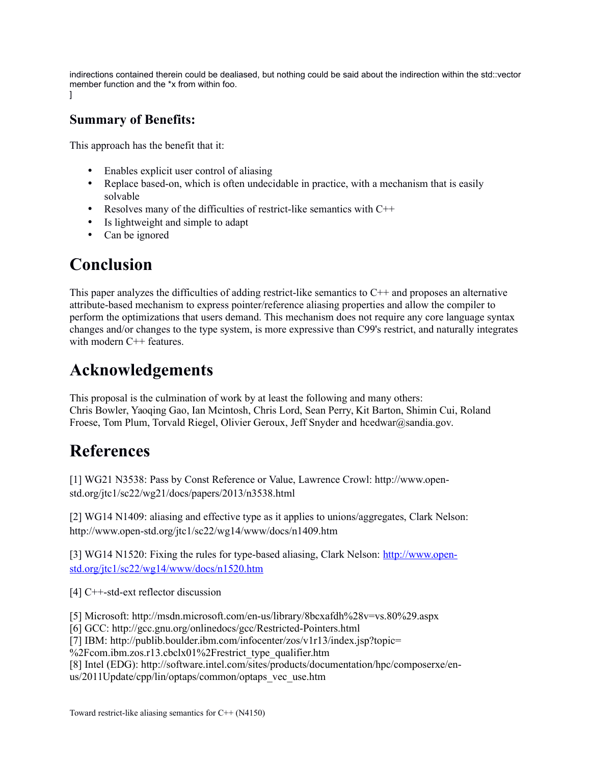indirections contained therein could be dealiased, but nothing could be said about the indirection within the std::vector member function and the \*x from within foo. ]

### **Summary of Benefits:**

This approach has the benefit that it:

- Enables explicit user control of aliasing
- Replace based-on, which is often undecidable in practice, with a mechanism that is easily solvable
- Resolves many of the difficulties of restrict-like semantics with  $C++$
- Is lightweight and simple to adapt
- Can be ignored

## **Conclusion**

This paper analyzes the difficulties of adding restrict-like semantics to  $C_{++}$  and proposes an alternative attribute-based mechanism to express pointer/reference aliasing properties and allow the compiler to perform the optimizations that users demand. This mechanism does not require any core language syntax changes and/or changes to the type system, is more expressive than C99's restrict, and naturally integrates with modern C<sup>++</sup> features.

### **Acknowledgements**

This proposal is the culmination of work by at least the following and many others: Chris Bowler, Yaoqing Gao, Ian Mcintosh, Chris Lord, Sean Perry, Kit Barton, Shimin Cui, Roland Froese, Tom Plum, Torvald Riegel, Olivier Geroux, Jeff Snyder and hcedwar@sandia.gov.

### **References**

[1] WG21 N3538: Pass by Const Reference or Value, Lawrence Crowl: http://www.openstd.org/jtc1/sc22/wg21/docs/papers/2013/n3538.html

[2] WG14 N1409: aliasing and effective type as it applies to unions/aggregates, Clark Nelson: http://www.open-std.org/jtc1/sc22/wg14/www/docs/n1409.htm

[3] WG14 N1520: Fixing the rules for type-based aliasing, Clark Nelson: [http://www.open](http://www.open-std.org/jtc1/sc22/wg14/www/docs/n1520.htm)[std.org/jtc1/sc22/wg14/www/docs/n1520.htm](http://www.open-std.org/jtc1/sc22/wg14/www/docs/n1520.htm)

[4] C<sup>++</sup>-std-ext reflector discussion

[5] Microsoft: http://msdn.microsoft.com/en-us/library/8bcxafdh%28v=vs.80%29.aspx

[6] GCC: http://gcc.gnu.org/onlinedocs/gcc/Restricted-Pointers.html

[7] IBM: http://publib.boulder.ibm.com/infocenter/zos/v1r13/index.jsp?topic=

%2Fcom.ibm.zos.r13.cbclx01%2Frestrict\_type\_qualifier.htm

[8] Intel (EDG): http://software.intel.com/sites/products/documentation/hpc/composerxe/en-

us/2011Update/cpp/lin/optaps/common/optaps\_vec\_use.htm